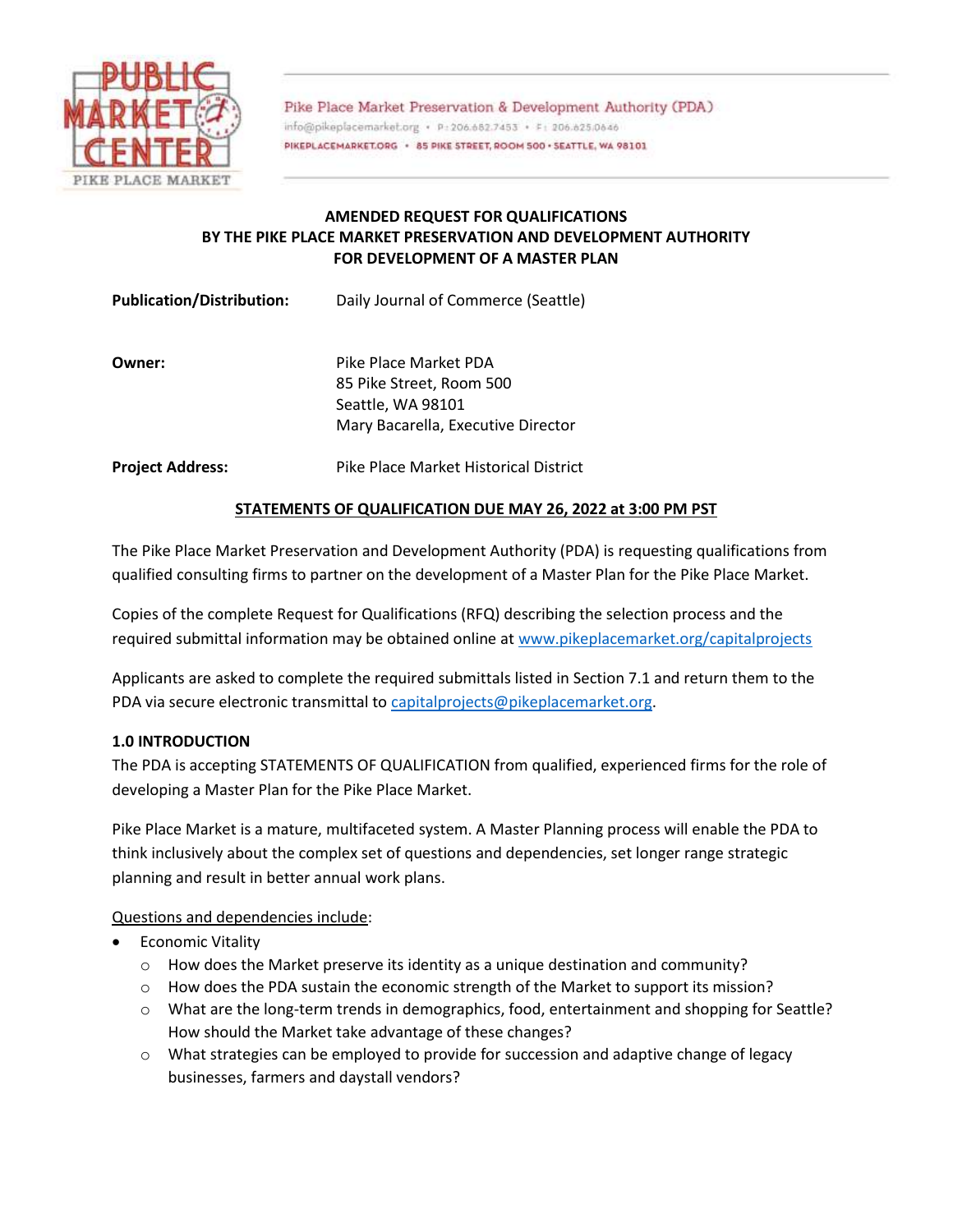

Pike Place Market Preservation & Development Authority (PDA) info@pikeplacemarket.org · P:206.682.7453 · F: 206.625.0646 PIKEPLACEMARKET.ORG · 85 PIKE STREET, ROOM 500 · SEATTLE, WA 98101

# **AMENDED REQUEST FOR QUALIFICATIONS BY THE PIKE PLACE MARKET PRESERVATION AND DEVELOPMENT AUTHORITY FOR DEVELOPMENT OF A MASTER PLAN**

**Publication/Distribution:** Daily Journal of Commerce (Seattle)

**Owner:** Pike Place Market PDA 85 Pike Street, Room 500 Seattle, WA 98101 Mary Bacarella, Executive Director

**Project Address:** Pike Place Market Historical District

# **STATEMENTS OF QUALIFICATION DUE MAY 26, 2022 at 3:00 PM PST**

The Pike Place Market Preservation and Development Authority (PDA) is requesting qualifications from qualified consulting firms to partner on the development of a Master Plan for the Pike Place Market.

Copies of the complete Request for Qualifications (RFQ) describing the selection process and the required submittal information may be obtained online at [www.pikeplacemarket.org/capitalprojects](http://www.pikeplacemarket.org/capitalprojects)

Applicants are asked to complete the required submittals listed in Section 7.1 and return them to the PDA via secure electronic transmittal to [capitalprojects@pikeplacemarket.org.](mailto:capitalprojects@pikeplacemarket.org)

## **1.0 INTRODUCTION**

The PDA is accepting STATEMENTS OF QUALIFICATION from qualified, experienced firms for the role of developing a Master Plan for the Pike Place Market.

Pike Place Market is a mature, multifaceted system. A Master Planning process will enable the PDA to think inclusively about the complex set of questions and dependencies, set longer range strategic planning and result in better annual work plans.

Questions and dependencies include:

- Economic Vitality
	- $\circ$  How does the Market preserve its identity as a unique destination and community?
	- $\circ$  How does the PDA sustain the economic strength of the Market to support its mission?
	- o What are the long-term trends in demographics, food, entertainment and shopping for Seattle? How should the Market take advantage of these changes?
	- $\circ$  What strategies can be employed to provide for succession and adaptive change of legacy businesses, farmers and daystall vendors?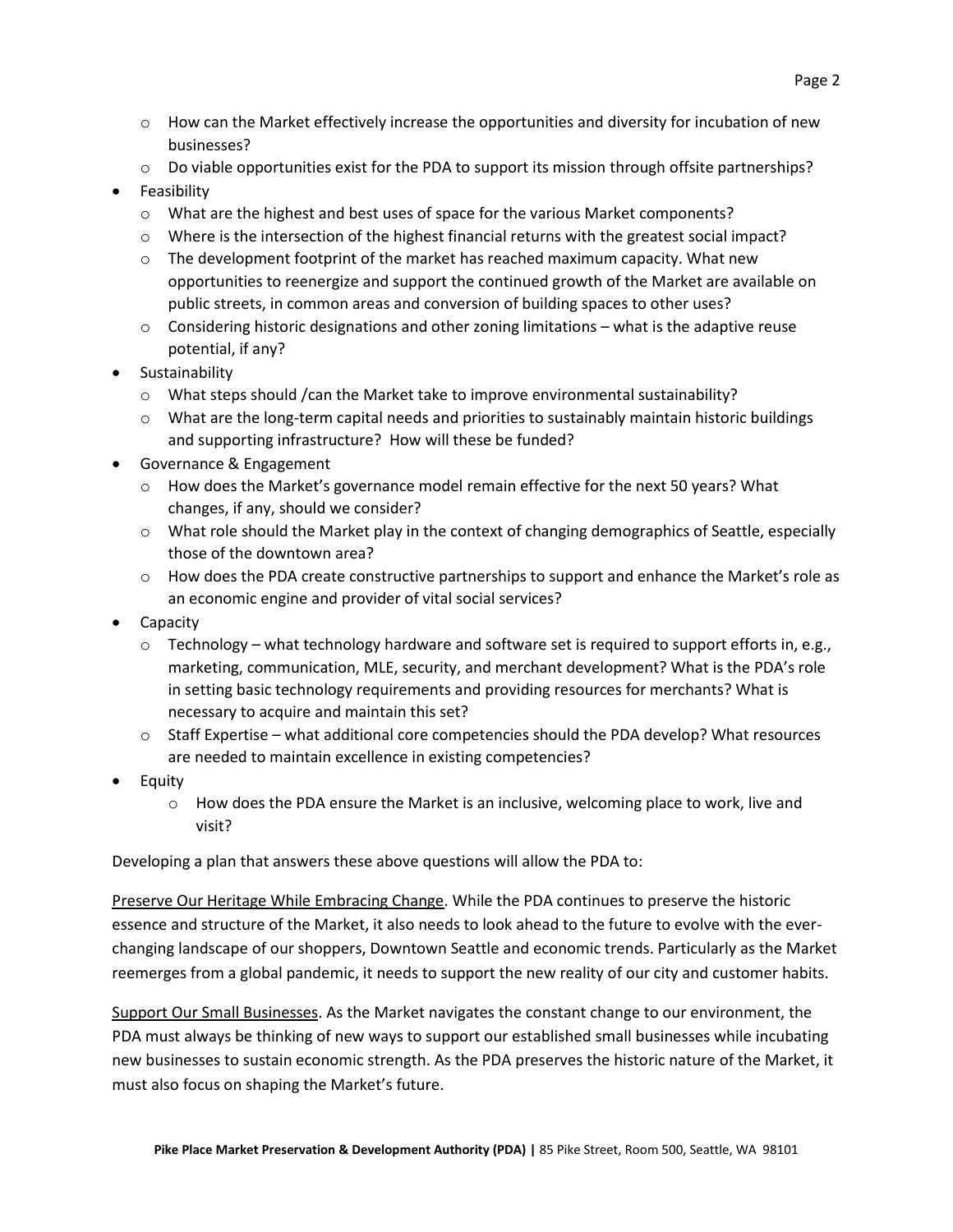- $\circ$  How can the Market effectively increase the opportunities and diversity for incubation of new businesses?
- $\circ$  Do viable opportunities exist for the PDA to support its mission through offsite partnerships?
- Feasibility
	- o What are the highest and best uses of space for the various Market components?
	- o Where is the intersection of the highest financial returns with the greatest social impact?
	- $\circ$  The development footprint of the market has reached maximum capacity. What new opportunities to reenergize and support the continued growth of the Market are available on public streets, in common areas and conversion of building spaces to other uses?
	- $\circ$  Considering historic designations and other zoning limitations what is the adaptive reuse potential, if any?
- **•** Sustainability
	- $\circ$  What steps should /can the Market take to improve environmental sustainability?
	- o What are the long-term capital needs and priorities to sustainably maintain historic buildings and supporting infrastructure? How will these be funded?
- Governance & Engagement
	- $\circ$  How does the Market's governance model remain effective for the next 50 years? What changes, if any, should we consider?
	- o What role should the Market play in the context of changing demographics of Seattle, especially those of the downtown area?
	- $\circ$  How does the PDA create constructive partnerships to support and enhance the Market's role as an economic engine and provider of vital social services?
- Capacity
	- $\circ$  Technology what technology hardware and software set is required to support efforts in, e.g., marketing, communication, MLE, security, and merchant development? What is the PDA's role in setting basic technology requirements and providing resources for merchants? What is necessary to acquire and maintain this set?
	- $\circ$  Staff Expertise what additional core competencies should the PDA develop? What resources are needed to maintain excellence in existing competencies?
- Equity
	- $\circ$  How does the PDA ensure the Market is an inclusive, welcoming place to work, live and visit?

Developing a plan that answers these above questions will allow the PDA to:

Preserve Our Heritage While Embracing Change. While the PDA continues to preserve the historic essence and structure of the Market, it also needs to look ahead to the future to evolve with the everchanging landscape of our shoppers, Downtown Seattle and economic trends. Particularly as the Market reemerges from a global pandemic, it needs to support the new reality of our city and customer habits.

Support Our Small Businesses. As the Market navigates the constant change to our environment, the PDA must always be thinking of new ways to support our established small businesses while incubating new businesses to sustain economic strength. As the PDA preserves the historic nature of the Market, it must also focus on shaping the Market's future.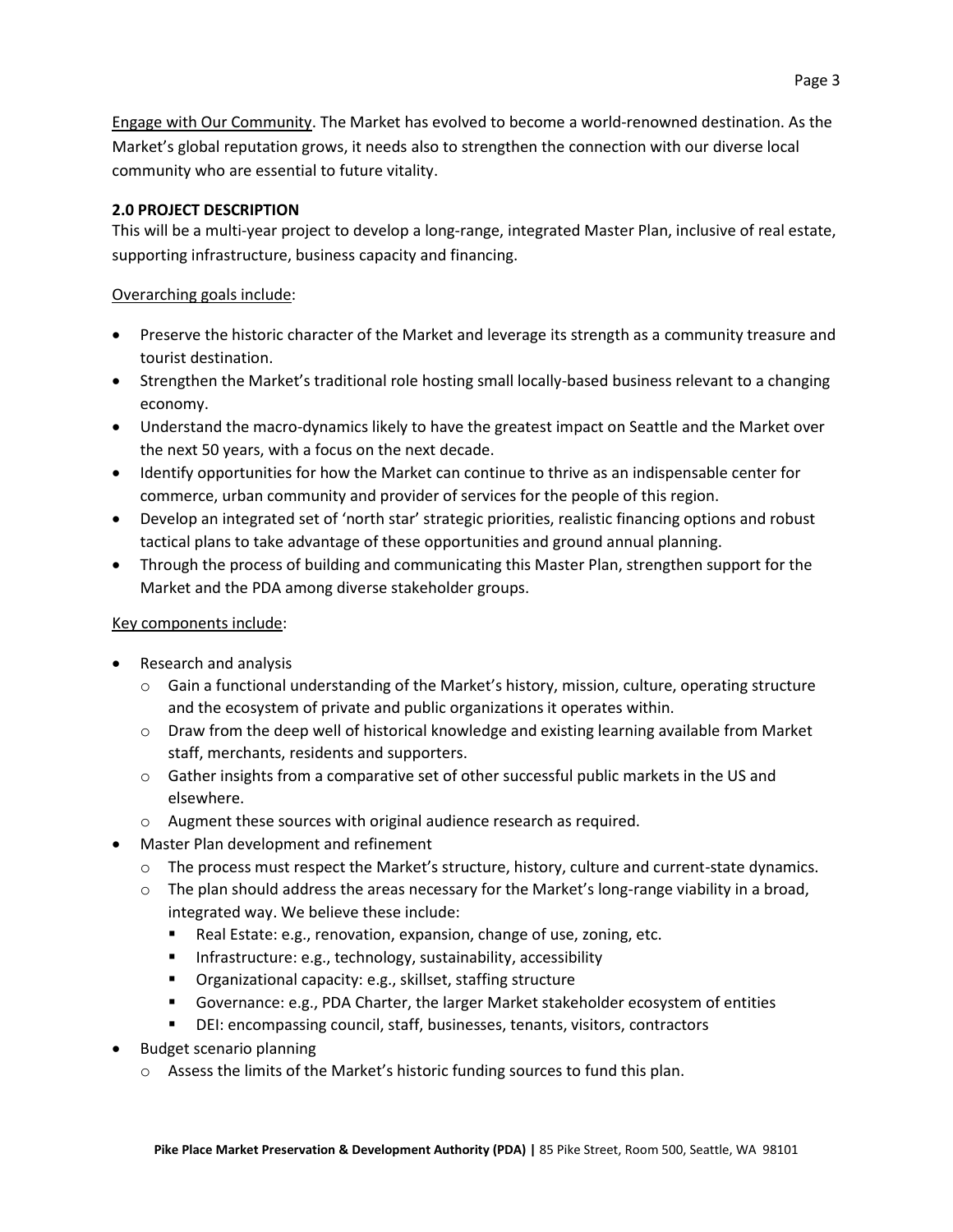Engage with Our Community. The Market has evolved to become a world-renowned destination. As the Market's global reputation grows, it needs also to strengthen the connection with our diverse local community who are essential to future vitality.

# **2.0 PROJECT DESCRIPTION**

This will be a multi-year project to develop a long-range, integrated Master Plan, inclusive of real estate, supporting infrastructure, business capacity and financing.

# Overarching goals include:

- Preserve the historic character of the Market and leverage its strength as a community treasure and tourist destination.
- Strengthen the Market's traditional role hosting small locally-based business relevant to a changing economy.
- Understand the macro-dynamics likely to have the greatest impact on Seattle and the Market over the next 50 years, with a focus on the next decade.
- Identify opportunities for how the Market can continue to thrive as an indispensable center for commerce, urban community and provider of services for the people of this region.
- Develop an integrated set of 'north star' strategic priorities, realistic financing options and robust tactical plans to take advantage of these opportunities and ground annual planning.
- Through the process of building and communicating this Master Plan, strengthen support for the Market and the PDA among diverse stakeholder groups.

# Key components include:

- Research and analysis
	- $\circ$  Gain a functional understanding of the Market's history, mission, culture, operating structure and the ecosystem of private and public organizations it operates within.
	- $\circ$  Draw from the deep well of historical knowledge and existing learning available from Market staff, merchants, residents and supporters.
	- $\circ$  Gather insights from a comparative set of other successful public markets in the US and elsewhere.
	- o Augment these sources with original audience research as required.
- Master Plan development and refinement
	- $\circ$  The process must respect the Market's structure, history, culture and current-state dynamics.
	- $\circ$  The plan should address the areas necessary for the Market's long-range viability in a broad, integrated way. We believe these include:
		- Real Estate: e.g., renovation, expansion, change of use, zoning, etc.
		- **Infrastructure: e.g., technology, sustainability, accessibility**
		- Organizational capacity: e.g., skillset, staffing structure
		- Governance: e.g., PDA Charter, the larger Market stakeholder ecosystem of entities
		- DEI: encompassing council, staff, businesses, tenants, visitors, contractors
- Budget scenario planning
	- $\circ$  Assess the limits of the Market's historic funding sources to fund this plan.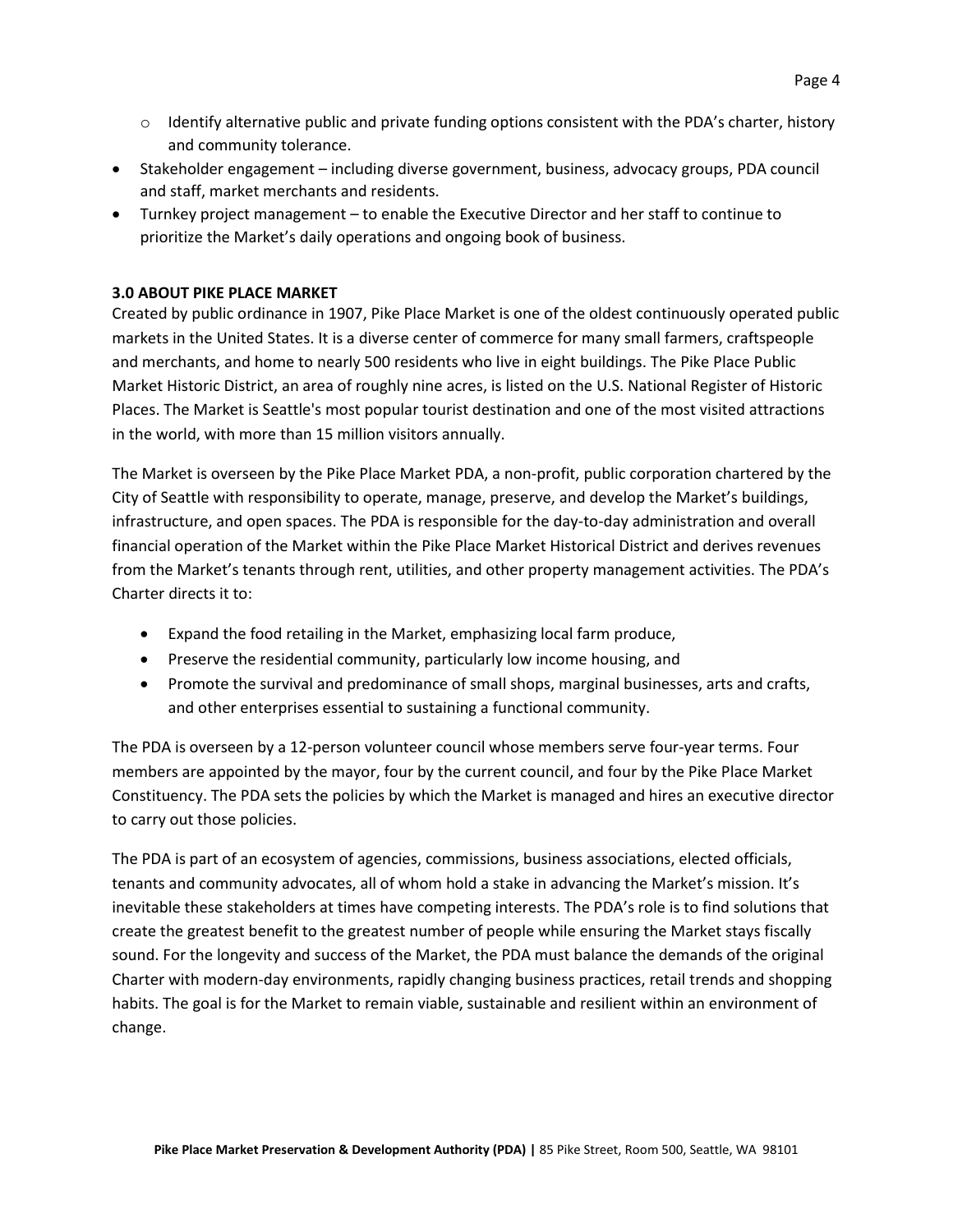- $\circ$  Identify alternative public and private funding options consistent with the PDA's charter, history and community tolerance.
- Stakeholder engagement including diverse government, business, advocacy groups, PDA council and staff, market merchants and residents.
- Turnkey project management to enable the Executive Director and her staff to continue to prioritize the Market's daily operations and ongoing book of business.

### **3.0 ABOUT PIKE PLACE MARKET**

Created by public ordinance in 1907, Pike Place Market is one of the oldest continuously operated public markets in the United States. It is a diverse center of commerce for many small farmers, craftspeople and merchants, and home to nearly 500 residents who live in eight buildings. The Pike Place Public Market Historic District, an area of roughly nine acres, is listed on the U.S. National Register of Historic Places. The Market is Seattle's most popular tourist destination and one of the most visited attractions in the world, with more than 15 million visitors annually.

The Market is overseen by the Pike Place Market PDA, a non-profit, public corporation chartered by the City of Seattle with responsibility to operate, manage, preserve, and develop the Market's buildings, infrastructure, and open spaces. The PDA is responsible for the day-to-day administration and overall financial operation of the Market within the Pike Place Market Historical District and derives revenues from the Market's tenants through rent, utilities, and other property management activities. The PDA's Charter directs it to:

- Expand the food retailing in the Market, emphasizing local farm produce,
- Preserve the residential community, particularly low income housing, and
- Promote the survival and predominance of small shops, marginal businesses, arts and crafts, and other enterprises essential to sustaining a functional community.

The PDA is overseen by a 12-person volunteer council whose members serve four-year terms. Four members are appointed by the mayor, four by the current council, and four by the Pike Place Market Constituency. The PDA sets the policies by which the Market is managed and hires an executive director to carry out those policies.

The PDA is part of an ecosystem of agencies, commissions, business associations, elected officials, tenants and community advocates, all of whom hold a stake in advancing the Market's mission. It's inevitable these stakeholders at times have competing interests. The PDA's role is to find solutions that create the greatest benefit to the greatest number of people while ensuring the Market stays fiscally sound. For the longevity and success of the Market, the PDA must balance the demands of the original Charter with modern-day environments, rapidly changing business practices, retail trends and shopping habits. The goal is for the Market to remain viable, sustainable and resilient within an environment of change.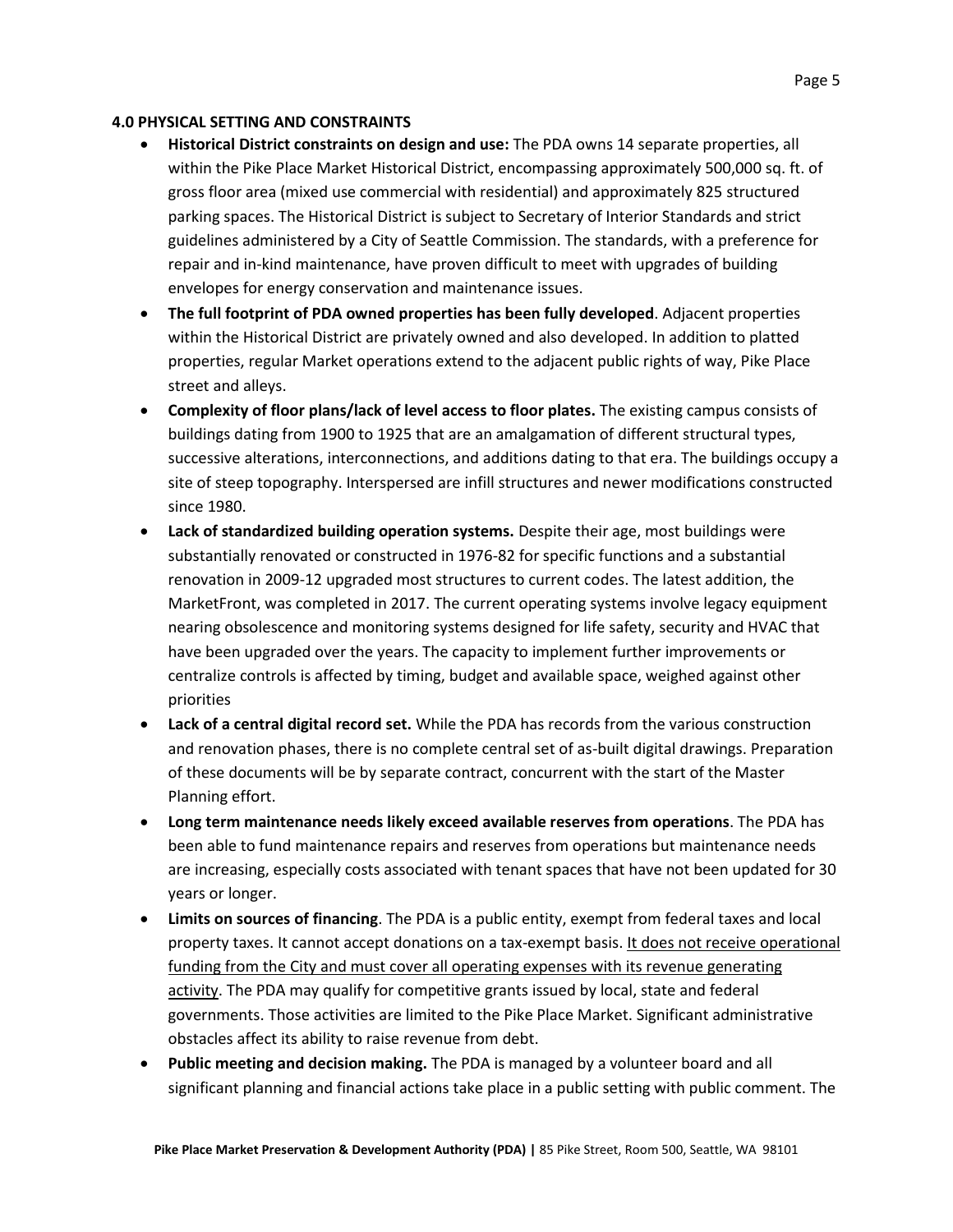### **4.0 PHYSICAL SETTING AND CONSTRAINTS**

- **Historical District constraints on design and use:** The PDA owns 14 separate properties, all within the Pike Place Market Historical District, encompassing approximately 500,000 sq. ft. of gross floor area (mixed use commercial with residential) and approximately 825 structured parking spaces. The Historical District is subject to Secretary of Interior Standards and strict guidelines administered by a City of Seattle Commission. The standards, with a preference for repair and in-kind maintenance, have proven difficult to meet with upgrades of building envelopes for energy conservation and maintenance issues.
- **The full footprint of PDA owned properties has been fully developed**. Adjacent properties within the Historical District are privately owned and also developed. In addition to platted properties, regular Market operations extend to the adjacent public rights of way, Pike Place street and alleys.
- **Complexity of floor plans/lack of level access to floor plates.** The existing campus consists of buildings dating from 1900 to 1925 that are an amalgamation of different structural types, successive alterations, interconnections, and additions dating to that era. The buildings occupy a site of steep topography. Interspersed are infill structures and newer modifications constructed since 1980.
- **Lack of standardized building operation systems.** Despite their age, most buildings were substantially renovated or constructed in 1976-82 for specific functions and a substantial renovation in 2009-12 upgraded most structures to current codes. The latest addition, the MarketFront, was completed in 2017. The current operating systems involve legacy equipment nearing obsolescence and monitoring systems designed for life safety, security and HVAC that have been upgraded over the years. The capacity to implement further improvements or centralize controls is affected by timing, budget and available space, weighed against other priorities
- **Lack of a central digital record set.** While the PDA has records from the various construction and renovation phases, there is no complete central set of as-built digital drawings. Preparation of these documents will be by separate contract, concurrent with the start of the Master Planning effort.
- **Long term maintenance needs likely exceed available reserves from operations**. The PDA has been able to fund maintenance repairs and reserves from operations but maintenance needs are increasing, especially costs associated with tenant spaces that have not been updated for 30 years or longer.
- **Limits on sources of financing**. The PDA is a public entity, exempt from federal taxes and local property taxes. It cannot accept donations on a tax-exempt basis. It does not receive operational funding from the City and must cover all operating expenses with its revenue generating activity. The PDA may qualify for competitive grants issued by local, state and federal governments. Those activities are limited to the Pike Place Market. Significant administrative obstacles affect its ability to raise revenue from debt.
- **Public meeting and decision making.** The PDA is managed by a volunteer board and all significant planning and financial actions take place in a public setting with public comment. The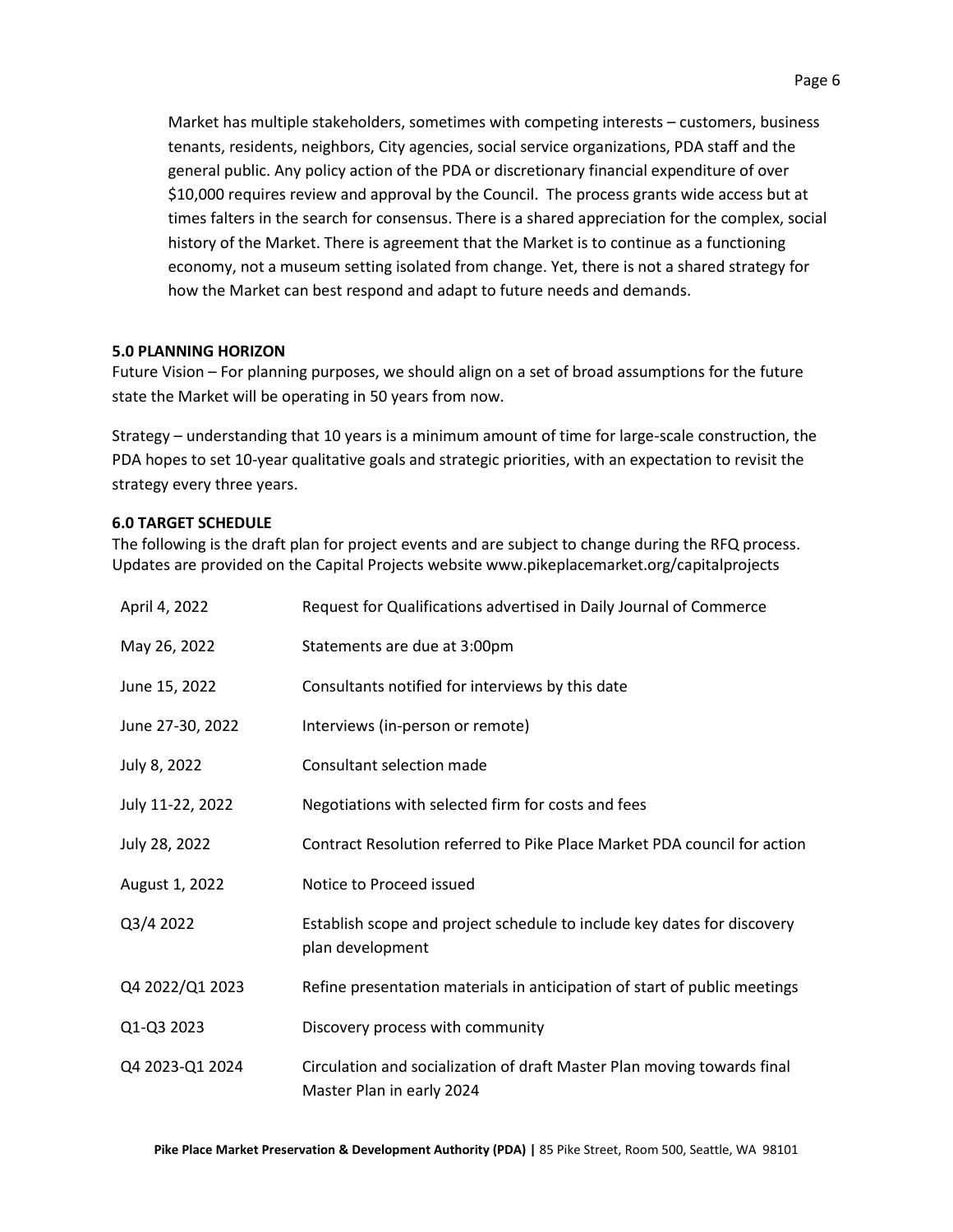Market has multiple stakeholders, sometimes with competing interests – customers, business tenants, residents, neighbors, City agencies, social service organizations, PDA staff and the general public. Any policy action of the PDA or discretionary financial expenditure of over \$10,000 requires review and approval by the Council. The process grants wide access but at times falters in the search for consensus. There is a shared appreciation for the complex, social history of the Market. There is agreement that the Market is to continue as a functioning economy, not a museum setting isolated from change. Yet, there is not a shared strategy for how the Market can best respond and adapt to future needs and demands.

### **5.0 PLANNING HORIZON**

Future Vision – For planning purposes, we should align on a set of broad assumptions for the future state the Market will be operating in 50 years from now.

Strategy – understanding that 10 years is a minimum amount of time for large-scale construction, the PDA hopes to set 10-year qualitative goals and strategic priorities, with an expectation to revisit the strategy every three years.

### **6.0 TARGET SCHEDULE**

The following is the draft plan for project events and are subject to change during the RFQ process. Updates are provided on the Capital Projects website www.pikeplacemarket.org/capitalprojects

| April 4, 2022    | Request for Qualifications advertised in Daily Journal of Commerce                                   |
|------------------|------------------------------------------------------------------------------------------------------|
| May 26, 2022     | Statements are due at 3:00pm                                                                         |
| June 15, 2022    | Consultants notified for interviews by this date                                                     |
| June 27-30, 2022 | Interviews (in-person or remote)                                                                     |
| July 8, 2022     | Consultant selection made                                                                            |
| July 11-22, 2022 | Negotiations with selected firm for costs and fees                                                   |
| July 28, 2022    | Contract Resolution referred to Pike Place Market PDA council for action                             |
| August 1, 2022   | Notice to Proceed issued                                                                             |
| Q3/4 2022        | Establish scope and project schedule to include key dates for discovery<br>plan development          |
| Q4 2022/Q1 2023  | Refine presentation materials in anticipation of start of public meetings                            |
| Q1-Q3 2023       | Discovery process with community                                                                     |
| Q4 2023-Q1 2024  | Circulation and socialization of draft Master Plan moving towards final<br>Master Plan in early 2024 |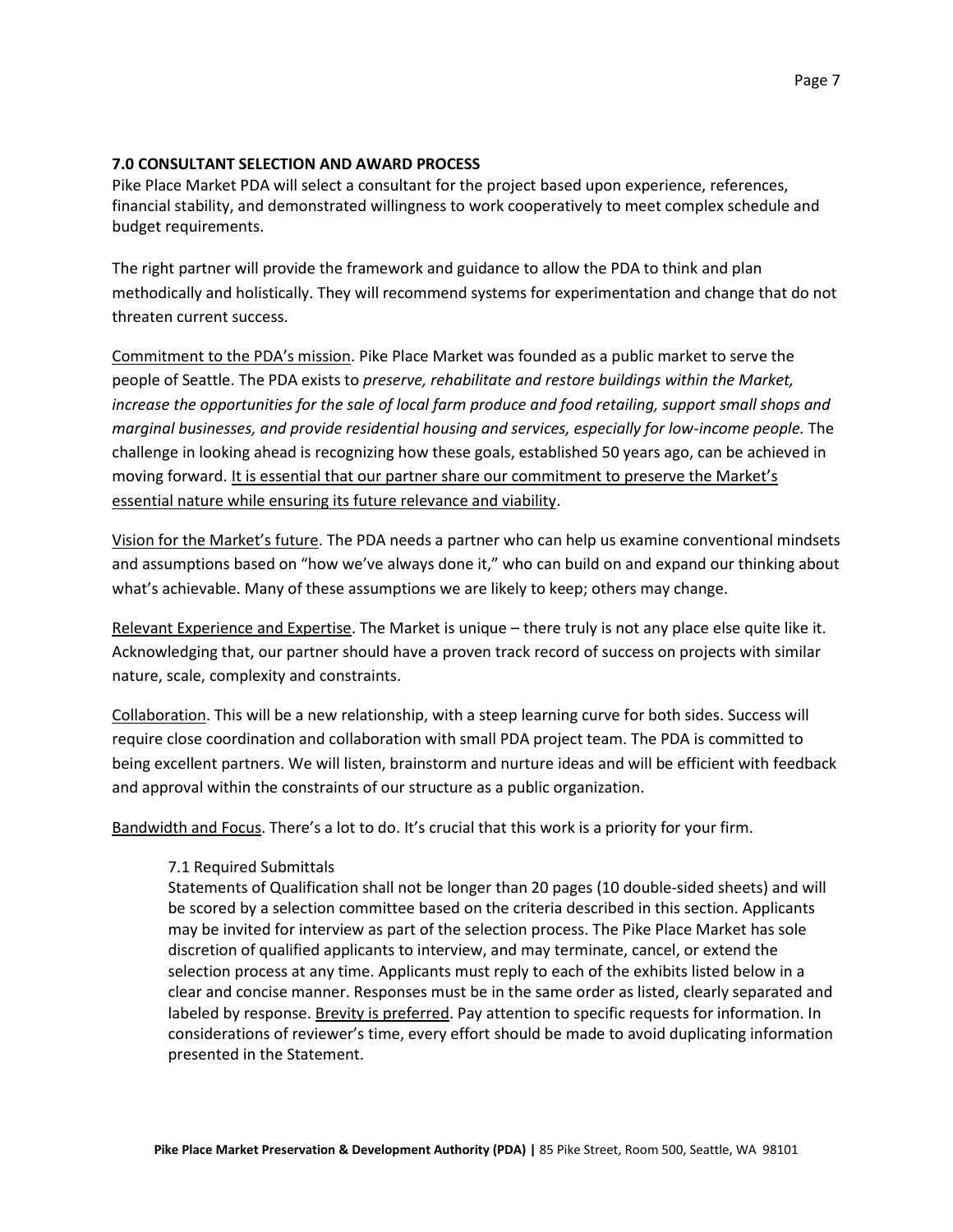#### **7.0 CONSULTANT SELECTION AND AWARD PROCESS**

Pike Place Market PDA will select a consultant for the project based upon experience, references, financial stability, and demonstrated willingness to work cooperatively to meet complex schedule and budget requirements.

The right partner will provide the framework and guidance to allow the PDA to think and plan methodically and holistically. They will recommend systems for experimentation and change that do not threaten current success.

Commitment to the PDA's mission. Pike Place Market was founded as a public market to serve the people of Seattle. The PDA exists to *preserve, rehabilitate and restore buildings within the Market, increase the opportunities for the sale of local farm produce and food retailing, support small shops and marginal businesses, and provide residential housing and services, especially for low-income people.* The challenge in looking ahead is recognizing how these goals, established 50 years ago, can be achieved in moving forward. It is essential that our partner share our commitment to preserve the Market's essential nature while ensuring its future relevance and viability.

Vision for the Market's future. The PDA needs a partner who can help us examine conventional mindsets and assumptions based on "how we've always done it," who can build on and expand our thinking about what's achievable. Many of these assumptions we are likely to keep; others may change.

Relevant Experience and Expertise. The Market is unique – there truly is not any place else quite like it. Acknowledging that, our partner should have a proven track record of success on projects with similar nature, scale, complexity and constraints.

Collaboration. This will be a new relationship, with a steep learning curve for both sides. Success will require close coordination and collaboration with small PDA project team. The PDA is committed to being excellent partners. We will listen, brainstorm and nurture ideas and will be efficient with feedback and approval within the constraints of our structure as a public organization.

Bandwidth and Focus. There's a lot to do. It's crucial that this work is a priority for your firm.

#### 7.1 Required Submittals

Statements of Qualification shall not be longer than 20 pages (10 double-sided sheets) and will be scored by a selection committee based on the criteria described in this section. Applicants may be invited for interview as part of the selection process. The Pike Place Market has sole discretion of qualified applicants to interview, and may terminate, cancel, or extend the selection process at any time. Applicants must reply to each of the exhibits listed below in a clear and concise manner. Responses must be in the same order as listed, clearly separated and labeled by response. Brevity is preferred. Pay attention to specific requests for information. In considerations of reviewer's time, every effort should be made to avoid duplicating information presented in the Statement.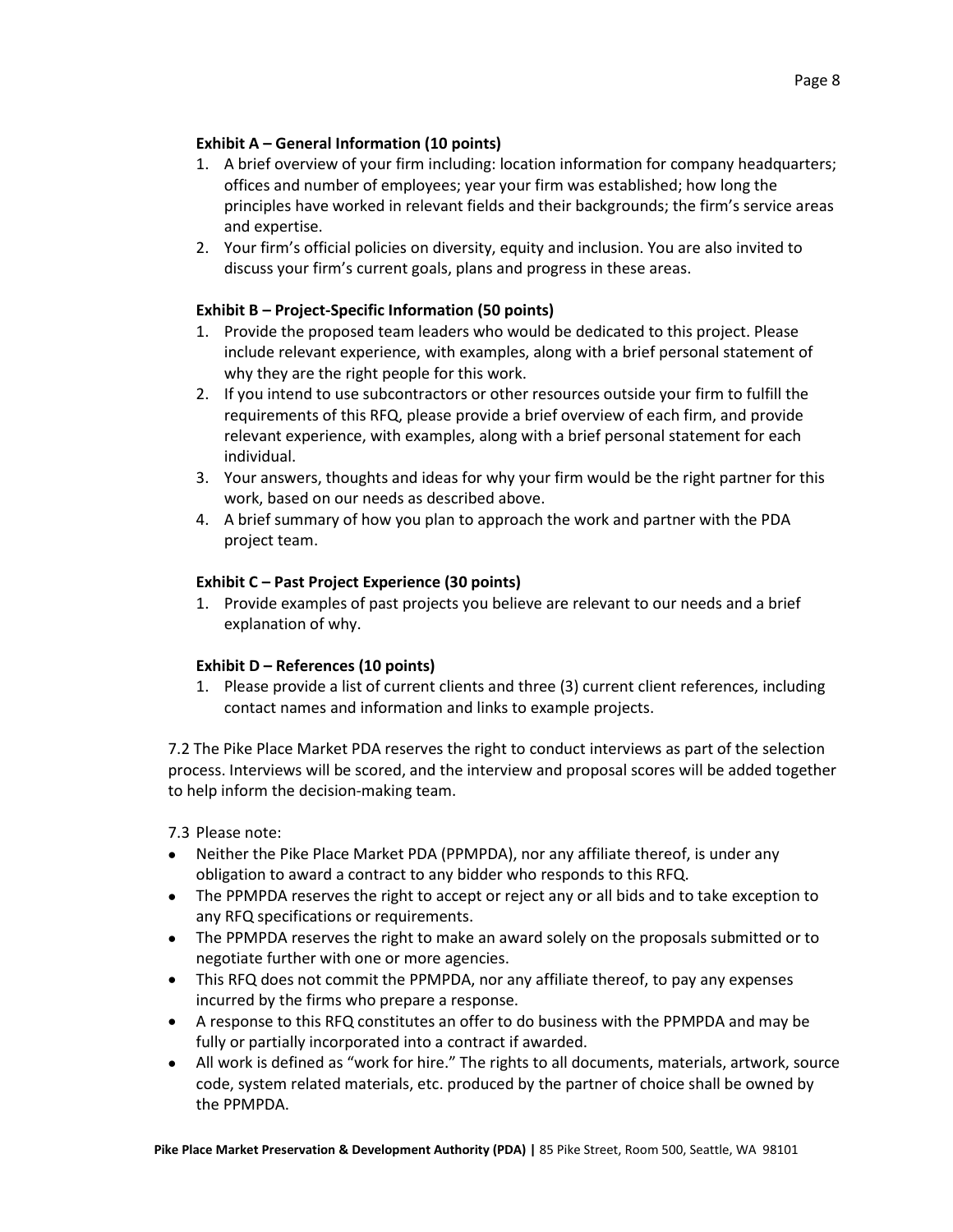### **Exhibit A – General Information (10 points)**

- 1. A brief overview of your firm including: location information for company headquarters; offices and number of employees; year your firm was established; how long the principles have worked in relevant fields and their backgrounds; the firm's service areas and expertise.
- 2. Your firm's official policies on diversity, equity and inclusion. You are also invited to discuss your firm's current goals, plans and progress in these areas.

# **Exhibit B – Project-Specific Information (50 points)**

- 1. Provide the proposed team leaders who would be dedicated to this project. Please include relevant experience, with examples, along with a brief personal statement of why they are the right people for this work.
- 2. If you intend to use subcontractors or other resources outside your firm to fulfill the requirements of this RFQ, please provide a brief overview of each firm, and provide relevant experience, with examples, along with a brief personal statement for each individual.
- 3. Your answers, thoughts and ideas for why your firm would be the right partner for this work, based on our needs as described above.
- 4. A brief summary of how you plan to approach the work and partner with the PDA project team.

## **Exhibit C – Past Project Experience (30 points)**

1. Provide examples of past projects you believe are relevant to our needs and a brief explanation of why.

## **Exhibit D – References (10 points)**

1. Please provide a list of current clients and three (3) current client references, including contact names and information and links to example projects.

7.2 The Pike Place Market PDA reserves the right to conduct interviews as part of the selection process. Interviews will be scored, and the interview and proposal scores will be added together to help inform the decision-making team.

7.3 Please note:

- Neither the Pike Place Market PDA (PPMPDA), nor any affiliate thereof, is under any obligation to award a contract to any bidder who responds to this RFQ.
- The PPMPDA reserves the right to accept or reject any or all bids and to take exception to any RFQ specifications or requirements.
- The PPMPDA reserves the right to make an award solely on the proposals submitted or to negotiate further with one or more agencies.
- This RFQ does not commit the PPMPDA, nor any affiliate thereof, to pay any expenses incurred by the firms who prepare a response.
- A response to this RFQ constitutes an offer to do business with the PPMPDA and may be fully or partially incorporated into a contract if awarded.
- All work is defined as "work for hire." The rights to all documents, materials, artwork, source code, system related materials, etc. produced by the partner of choice shall be owned by the PPMPDA.